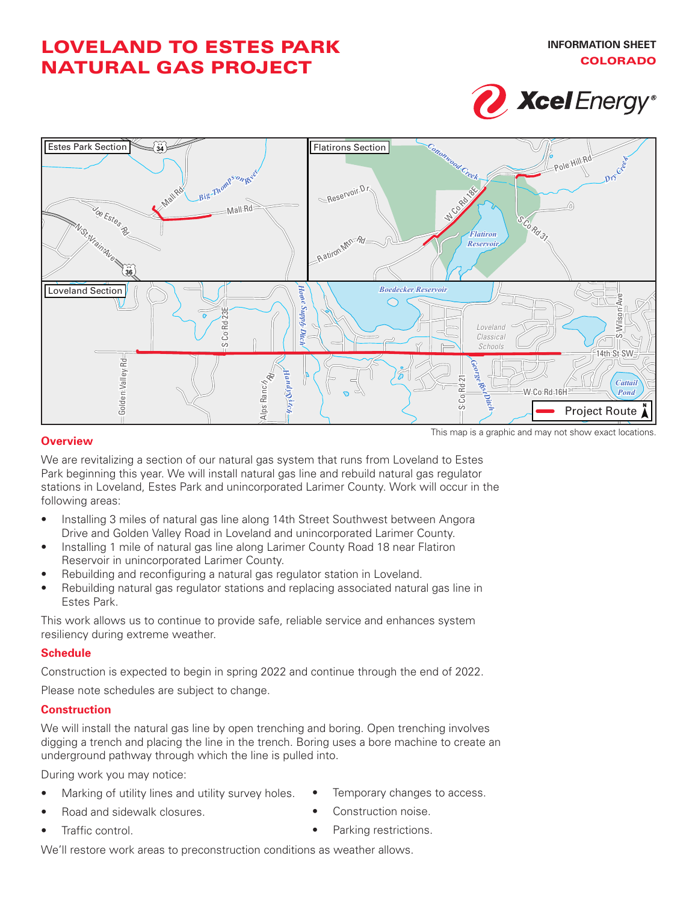# LOVELAND TO ESTES PARK NATURAL GAS PROJECT





#### **Overview**

This map is a graphic and may not show exact locations.

We are revitalizing a section of our natural gas system that runs from Loveland to Estes Park beginning this year. We will install natural gas line and rebuild natural gas regulator stations in Loveland, Estes Park and unincorporated Larimer County. Work will occur in the following areas:

- Installing 3 miles of natural gas line along 14th Street Southwest between Angora Drive and Golden Valley Road in Loveland and unincorporated Larimer County.
- Installing 1 mile of natural gas line along Larimer County Road 18 near Flatiron Reservoir in unincorporated Larimer County.
- Rebuilding and reconfiguring a natural gas regulator station in Loveland.
- Rebuilding natural gas regulator stations and replacing associated natural gas line in Estes Park.

This work allows us to continue to provide safe, reliable service and enhances system resiliency during extreme weather.

### **Schedule**

Construction is expected to begin in spring 2022 and continue through the end of 2022.

Please note schedules are subject to change.

#### **Construction**

We will install the natural gas line by open trenching and boring. Open trenching involves digging a trench and placing the line in the trench. Boring uses a bore machine to create an underground pathway through which the line is pulled into.

During work you may notice:

- Marking of utility lines and utility survey holes.
- Road and sidewalk closures.
- Traffic control.
- Temporary changes to access.
- Construction noise.
- Parking restrictions.

We'll restore work areas to preconstruction conditions as weather allows.